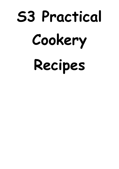# **S3 Practical Cookery Recipes**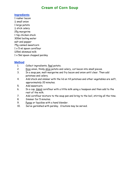### **Cream of Corn Soup**

#### **Ingredients**

1 rasher bacon  $rac{1}{2}$  small onion 1 large potato  $\frac{1}{2}$  stick celery 25g margarine 1 tsp chicken stock 300ml boiling water salt and pepper 75g canned sweetcorn  $1 \times 5$  ml spoon cornflour 125ml skimmed milk  $1 \times 5$ ml spoon chopped parsley

- 1. Collect ingredients. Peel potato.
- 2. Dice onion, thinly slice potato and celery, cut bacon into small pieces.
- 3. In a soup pan, melt margarine and fry bacon and onion until clear. Then add potatoes and celery.
- 4. Add stock and simmer with the lid on till potatoes and other vegetables are soft, approximately 20 minutes.
- 5. Add sweetcorn.
- 6. In a cup, blend cornflour with a little milk using a teaspoon and then add to the rest of the milk.
- 7. Add cornflour mixture to the soup pan and bring to the boil, stirring all the time.
- 8. Simmer for 5 minutes.
- 9. Puree or liquidise with a hand blender.
- 10. Serve garnished with parsley. Croutons may be served.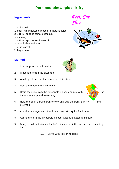## **Pork and pineapple stir-fry**

1 pork steak 1 small can pineapple pieces (in natural juice)  $2 \times 15$  ml spoons tomato ketchup seasoning  $2 \times 15$  ml spoons sunflower oil  $\frac{1}{8}$  small white cabbage 1 large carrot







- 1. Cut the pork into thin strips.
- 2. Wash and shred the cabbage.
- 3. Wash, peel and cut the carrot into thin strips.
- 4. Peel the onion and slice thinly.
- 5. Drain the juice from the pineapple pieces and mix with  $\frac{1}{2}$ tomato ketchup and seasoning.
- 6. Heat the oil in a frying pan or wok and add the pork. Stir-fry until browned.
- 7. Add the cabbage, carrot and onion and stir-fry for 2 minutes.
- 8. Add and stir in the pineapple pieces, juice and ketchup mixture.
- 9. Bring to boil and simmer for 2–3 minutes, until the mixture is reduced by half.
	- 10. Serve with rice or noodles**.**

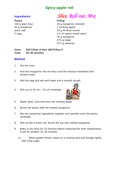## **Spicy apple roll**

#### *Pastry Filling*

50 g margarine 1 cooking apple

# **Ingredients** *Slice, Roll out, Mix*

100 g plain flour 25 g margarine (melted) pinch salt 25 g All Bran cereal  $\frac{1}{2}$  egg  $\frac{2.5 \text{ ml}}{2.5 \text{ ml}}$  spoon mixed spice 25 g margarine 37½ g sugar 37½ g sultanas

**Oven: 220°C/Gas 8 then 190°C/Gas 5 Time: 30–35 minutes**

- 1. Set the oven.
- 2. Rub the margarine into the flour until the mixture resembles fine breadcrumbs.
- 3. Add the egg and salt and make into a smooth dough.
- 4. Roll out to 20 cm  $\times$  15 cm rectangle.



- 5. Wash, peel, core and slice the cooking apple.
- 6. Brush the pastry with the melted margarine.
- 7. Mix the remaining ingredients together and sprinkle over the pastry rectangle.
- 8. Roll up like a swiss roll. Brush the top with melted margarine.
- 9. Bake in the oven for 15 minutes before reducing the oven temperature. Cook for another 15–20 minutes.
	- 11. When golden brown, place on a cooling rack and dredge lightly with icing sugar.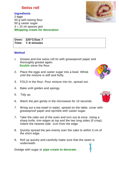#### **Swiss roll**

#### **Ingredients**

2 eggs 50 g self-raising flour 50 g caster sugar  $3 \times 15$  ml spoons jam **Whipping cream for decoration**

**Oven: 220°C/Gas 7 Time: 7–8 minutes**

#### **Method**

- 1. Grease and line swiss roll tin with greaseproof paper and thoroughly grease again.  **Double** sieve the flour.
- 2. Place the eggs and caster sugar into a bowl. Whisk until the mixture is stiff and fluffy.
- 3. FOLD in the flour. Pour mixture into tin, spread out.
- 4. Bake until golden and spongy.
- 5. Tidy up.
- 6. Warm the jam gently in the microwave for 15 seconds.
- 7. Wring out a tea towel in water, spread on the table, cover with greaseproof paper and sprinkle with caster sugar.
- 7. Take the cake out of the oven and turn out at once. Using a sharp knife, trim edges at top and the two long sides (if crisp). Indent the nearest side -1cm from the edge.
- 8. Quickly spread the jam evenly over the cake to within 3 cm of the short edge.
- 9. Roll up quickly and carefully make sure that the seam is underneath.

Dredge with sugar or **pipe cream to decorate.**





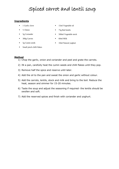# Spiced carrot and lentil soup

#### **Ingredients**

- 1 Garlic clove
- ½ Onion
- $\blacksquare$  5g Coriander
- 300g Carrots
- $\overline{\phantom{a}}$  5g Cumin seeds
- **15ml Vegetable oil**
- 75g Red lentils
- 500ml Vegetable stock
- $-60$ ml Milk
- 10ml Natural yoghurt
- **Small pinch chilli flakes**

- 1) Chop the garlic, onion and coriander and peel and grate the carrots.
- 2) IN a pan, carefully heat the cumin seeds and chilli flakes until they pop.
- 3) Remove half the spice and reserve until later.
- 4) Add the oil to the pan and sweat the onion and garlic without colour.
- 5) Add the carrots, lentils, stock and milk and bring to the boil. Reduce the heat, season and simmer for 15-20 minutes.
- 6) Taste the soup and adjust the seasoning if required- the lentils should be swollen and soft.
- 7) Add the reserved spices and finish with coriander and yoghurt.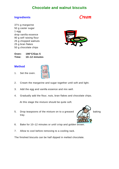#### **Chocolate and walnut biscuits**

#### **Ingredients** *Cream*

37½ g margarine 50 g caster sugar 1 egg drop vanilla essence 90 g self raising flour 25 g chopped walnuts 25 g bran flakes 50 g chocolate chips



**Oven: 190°C/Gas 5 Time: 10–12 minutes**

#### **Method**

1. Set the oven.



- 2. Cream the margarine and sugar together until soft and light.
- 3. Add the egg and vanilla essence and mix well.
- 4. Gradually add the flour, nuts, bran flakes and chocolate chips.

At this stage the mixture should be quite soft.

5. Drop teaspoons of the mixture on to a greased  $\sqrt{1.5}$  baking tray.



- 6. Bake for 10–12 minutes or until crisp and golden brown.
- 7. Allow to cool before removing to a cooling rack.

The finished biscuits can be half dipped in melted chocolate.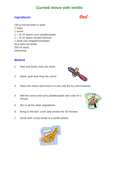## **Curried mince with lentils**

#### **Ingredients** *Peel*

150 g minced beef or lamb 1 onion 1 carrot  $1 \times 15$  ml spoon curry powder/paste  $1 \times 15$  ml spoon tomato ketchup 1 small can chopped tomatoes 50 g split red lentils 200 ml stock seasoning

- 1. Peel and finely chop the onion.
- 2. Wash, peel and chop the carrot.
- 3. Place the mince and onion in a pan and dry fry until browned.
- 4. Add the carrot and curry powder/paste and cook for 1 minute.
- 5. Stir in all the other ingredients.
- 6. Bring to the boil, cover and simmer for 20 minutes.
- 7*.* Serve with crusty bread or a jacket potato.





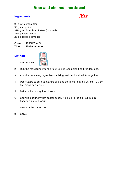#### **Bran and almond shortbread**

#### **Ingredients** *Mix*

90 g wholemeal flour 90 g margarine 37½ g All Bran/bran flakes (crushed) 27½ g caster sugar 25 g chopped almonds

**Oven: 190°C/Gas 5 Time: 15–20 minutes**

#### **Method**

1. Set the oven.



- 2. Rub the margarine into the flour until it resembles fine breadcrumbs.
- 3. Add the remaining ingredients, mixing well until it all sticks together.
- 4. Use cutters to cut out mixture or place the mixture into a 25 cm  $\times$  15 cm tin. Press down well.
- S. Bake until top is golden brown.
- 6. Sprinkle sparingly with caster sugar. If baked in the tin, cut into 10 fingers while still warm.
- 7. Leave in the tin to cool.
- 8. Serve.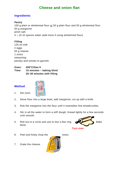## **Cheese and onion flan**

#### **Ingredients**

#### *Pastry*

100 g plain or wholemeal flour or 50 g plain flour and 50 g wholemeal flour 50 g margarine pinch salt  $4 \times 15$  ml spoons water (add more if using wholemeal flour)

#### *Filling*

125 ml milk 2 eggs 50 g cheese 1 onion seasoning parsley and tomato to garnish.

**Oven: 200°C/Gas 6 Time: 15 minutes – baking blind 20–30 minutes with filling**



- 1. Set oven.
- 2. Sieve flour into a large bowl, add margarine, cut up with a knife.
- 3. Rub the margarine into the flour until it resembles fine breadcrumbs.
- 4. Stir in all the water to form a stiff dough. Knead lightly for a few seconds until smooth.
- 5. Roll out to a circle and use to line a flan ring. **Bake** Bake blind.



- 6. Peel and finely chop the onion.
- 7. Grate the cheese.

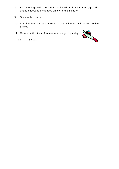- 8. Beat the eggs with a fork in a small bowl. Add milk to the eggs. Add grated cheese and chopped onions to this mixture.
- 9. Season the mixture.
- 10. Pour into the flan case. Bake for 20–30 minutes until set and golden brown.
- 11. Garnish with slices of tomato and sprigs of parsley.
	- 12. Serve.

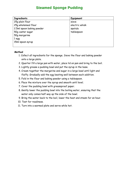#### **Steamed Sponge Pudding**

| <b>Ingredients</b>        | Equipment      |
|---------------------------|----------------|
| 25q plain flour           | sieve          |
| 25g wholemeal flour       | electric whisk |
| 2.5ml spoon baking powder | spatula        |
| 50g caster sugar          | tablespoon     |
| 50g margarine             |                |
| 1 egg                     |                |
| 15ml spoon syrup          |                |
|                           |                |

- 1. Collect all ingredients for the sponge. Sieve the flour and baking powder onto a large plate.
- 2. Quarter fill a large pan with water, place lid on pan and bring to the boil.
- 3. Lightly grease a pudding bowl and put the syrup in the base.
- 4. Cream together the margarine and sugar in a large bowl until light and fluffy. Gradually add the egg beating well between each addition.
- 5. Fold in the flour and baking powder using a tablespoon.
- 6. Place the mixture over the syrup and smooth until level.
- 7. Cover the pudding bowl with greaseproof paper.
- 8. Gently lower the pudding bowl into the boiling water, ensuring that the water only comes half way up the side of the bowl.
- 9. Bring the water back to the boil, lower the heat and steam for an hour.
- 10. Test for readiness.
- 11. Turn into a warmed plate and serve while hot.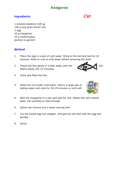## **Kedgeree**

#### **Ingredients** *Cut*

1 smoked haddock (100 g) 100 g long grain brown rice 1 egg 25 g margarine 25 g cooked peas parsley to garnish

- 1. Place the egg in a pan of cold water. Bring to the boil and boil for 10 minutes. Allow to cool in cold water before removing the shell.
- 2. Poach the fish gently in a little water until the  $\sim$  fish flakes easily (10–15 minutes).



- 3. Drain and flake the fish.
- 4. Wash the rice under cold water. Add to a large pan of boiling water and cook for 20–25 minutes or until soft.
- 5. Melt the margarine in a pan and add the rice, flaked fish and cooked peas. Stir carefully to heat through.
- 6. Spoon the mixture into a warm serving dish.
- 7. Cut the boiled egg into wedges. And garnish the dish with the egg and parsley.
- 8. Serve.



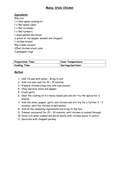#### **Malay Style Chicken**

#### **Ingredients**

50g rice 1 x 10ml spoon cooking oil  $1 \times 5$ ml spoon cumin 1 x 5ml coriander 1 x 5ml turmeric 1 onion peeled and sliced  $\frac{1}{2}$  green or red pepper seeded and chopped 1 chicken breast 50g cream coconut 125ml chicken stock cube 2 pineapple rings

| <b>Preparation Time:</b> | Oven Temperature:  |
|--------------------------|--------------------|
| <b>Cooking Time:</b>     | Servings/portions: |

- 1. Half fill pan with water. Bring to boil
- 2. Add rice and cook for 10 15 minutes
- 3. Prepare chicken (chop into bite size pieces)
- 4. Chop and slice onion and pepper
- 5. Crush garlic
- 6. Heat the cooking oil in a heavy based pan and stir fry the spices for  $\frac{1}{2}$ minute
- 7. Add the onion, pepper, garlic and chicken and stir fry for a further 2 3 minutes, until the chicken is well sealed.
- 8. Add all the remaining ingredients and bring to the boil.
- 9. Simmer uncovered for 20 30 minutes, until chicken is cooked through
- 10. Drain rice when cooked and serve neatly with chicken sauce in centre
- 11. Decorate with chopped parsley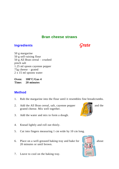#### **Bran cheese straws**

#### **Ingredients** *Grate*

50 g margarine 50 g self-raising flour 50 g All Bran cereal – crushed pinch salt 1.25 ml spoon cayenne pepper 75g cheese – grated 2 x 15 ml spoons water

**Oven: 180°C/Gas 4 Time: 20 minutes**

- 1. Rub the margarine into the flour until it resembles fine breadcrumbs.
- 2. Add the All Bran cereal, salt, cayenne pepper and the grated cheese. Mix well together.
- 3. Add the water and mix to form a dough.
- 4. Knead lightly and roll out thinly.
- 5. Cut into fingers measuring 1 cm wide by 10 cm long.
- 6. Place on a well-greased baking tray and bake for  $\| \cdot \|$  about 20 minutes or until brown.
- 7. Leave to cool on the baking tray.